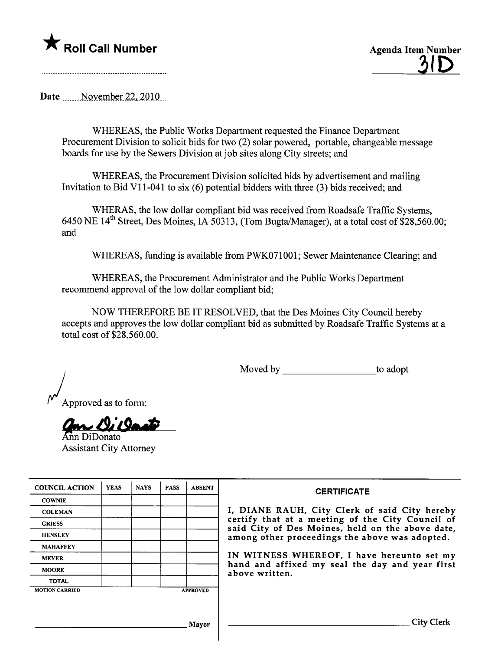## \* Roll Call Number Agenda Item Number



Date \_\_\_\_\_\_ November 22, 2010

WHEREAS, the Public Works Deparment requested the Finance Deparment Procurement Division to solicit bids for two (2) solar powered, portable, changeable message boards for use by the Sewers Division at job sites along City streets; and

WHEREAS, the Procurement Division solicited bids by advertisement and mailing Invitation to Bid VII-041 to six (6) potential bidders with three (3) bids received; and

WHERAS, the low dollar compliant bid was received from Roadsafe Traffic Systems, 6450 NE  $14^{th}$  Street, Des Moines, IA 50313, (Tom Bugta/Manager), at a total cost of \$28,560.00; and

WHEREAS, funding is available from PWK071001; Sewer Maintenance Clearing; and

WHEREAS, the Procurement Administrator and the Public Works Deparment recommend approval of the low dollar compliant bid;

NOW THEREFORE BE IT RESOLVED, that the Des Moines City Council hereby accepts and approves the low dollar compliant bid as submitted by Roadsafe Traffic Systems at a total cost of \$28,560.00.

Moved by to adopt

Approved as to form:

an Oileante

Assistant City Attorney

| <b>COUNCIL ACTION</b> | <b>YEAS</b> | <b>NAYS</b> | <b>PASS</b> | <b>ABSENT</b>   | <b>CERTIFICATE</b>                                                                                   |
|-----------------------|-------------|-------------|-------------|-----------------|------------------------------------------------------------------------------------------------------|
| <b>COWNIE</b>         |             |             |             |                 |                                                                                                      |
| <b>COLEMAN</b>        |             |             |             |                 | I, DIANE RAUH, City Clerk of said City hereby                                                        |
| <b>GRIESS</b>         |             |             |             |                 | certify that at a meeting of the City Council of<br>said City of Des Moines, held on the above date, |
| <b>HENSLEY</b>        |             |             |             |                 | among other proceedings the above was adopted.                                                       |
| <b>MAHAFFEY</b>       |             |             |             |                 |                                                                                                      |
| <b>MEYER</b>          |             |             |             |                 | IN WITNESS WHEREOF, I have hereunto set my                                                           |
| <b>MOORE</b>          |             |             |             |                 | hand and affixed my seal the day and year first<br>above written.                                    |
| <b>TOTAL</b>          |             |             |             |                 |                                                                                                      |
| <b>MOTION CARRIED</b> |             |             |             | <b>APPROVED</b> |                                                                                                      |
|                       |             |             |             |                 |                                                                                                      |
|                       |             |             |             |                 |                                                                                                      |
|                       |             |             |             | <b>Mayor</b>    | City                                                                                                 |